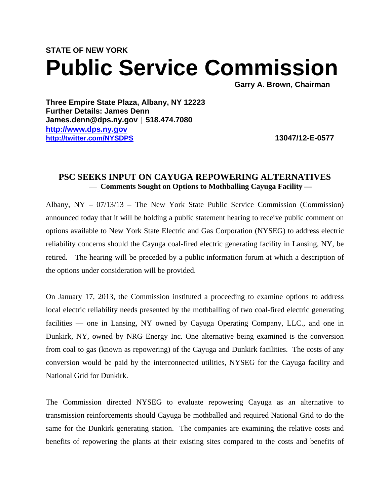# **STATE OF NEW YORK Public Service Commission**

**Three Empire State Plaza, Albany, NY 12223 Further Details: James Denn James.denn@dps.ny.gov** *|* **518.474.7080 http://www.dps.ny.gov http://twitter.com/NYSDPS 13047/12-E-0577** 

## **PSC SEEKS INPUT ON CAYUGA REPOWERING ALTERNATIVES**  — **Comments Sought on Options to Mothballing Cayuga Facility —**

Albany, NY – 07/13/13 – The New York State Public Service Commission (Commission) announced today that it will be holding a public statement hearing to receive public comment on options available to New York State Electric and Gas Corporation (NYSEG) to address electric reliability concerns should the Cayuga coal-fired electric generating facility in Lansing, NY, be retired. The hearing will be preceded by a public information forum at which a description of the options under consideration will be provided.

On January 17, 2013, the Commission instituted a proceeding to examine options to address local electric reliability needs presented by the mothballing of two coal-fired electric generating facilities — one in Lansing, NY owned by Cayuga Operating Company, LLC., and one in Dunkirk, NY, owned by NRG Energy Inc. One alternative being examined is the conversion from coal to gas (known as repowering) of the Cayuga and Dunkirk facilities. The costs of any conversion would be paid by the interconnected utilities, NYSEG for the Cayuga facility and National Grid for Dunkirk.

The Commission directed NYSEG to evaluate repowering Cayuga as an alternative to transmission reinforcements should Cayuga be mothballed and required National Grid to do the same for the Dunkirk generating station. The companies are examining the relative costs and benefits of repowering the plants at their existing sites compared to the costs and benefits of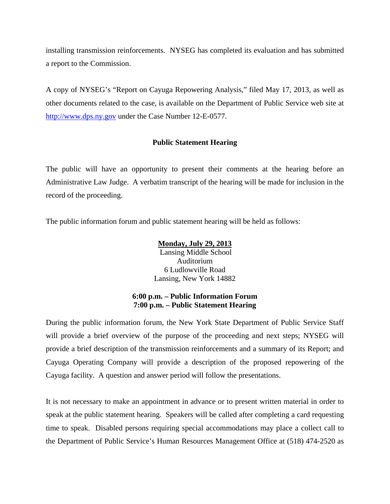installing transmission reinforcements. NYSEG has completed its evaluation and has submitted a report to the Commission.

A copy of NYSEG's "Report on Cayuga Repowering Analysis," filed May 17, 2013, as well as other documents related to the case, is available on the Department of Public Service web site at http://www.dps.ny.gov under the Case Number 12-E-0577.

### **Public Statement Hearing**

The public will have an opportunity to present their comments at the hearing before an Administrative Law Judge. A verbatim transcript of the hearing will be made for inclusion in the record of the proceeding.

The public information forum and public statement hearing will be held as follows:

**Monday, July 29, 2013**

 Lansing Middle School Auditorium 6 Ludlowville Road Lansing, New York 14882

### **6:00 p.m. – Public Information Forum 7:00 p.m. – Public Statement Hearing**

During the public information forum, the New York State Department of Public Service Staff will provide a brief overview of the purpose of the proceeding and next steps; NYSEG will provide a brief description of the transmission reinforcements and a summary of its Report; and Cayuga Operating Company will provide a description of the proposed repowering of the Cayuga facility. A question and answer period will follow the presentations.

It is not necessary to make an appointment in advance or to present written material in order to speak at the public statement hearing. Speakers will be called after completing a card requesting time to speak. Disabled persons requiring special accommodations may place a collect call to the Department of Public Service's Human Resources Management Office at (518) 474-2520 as